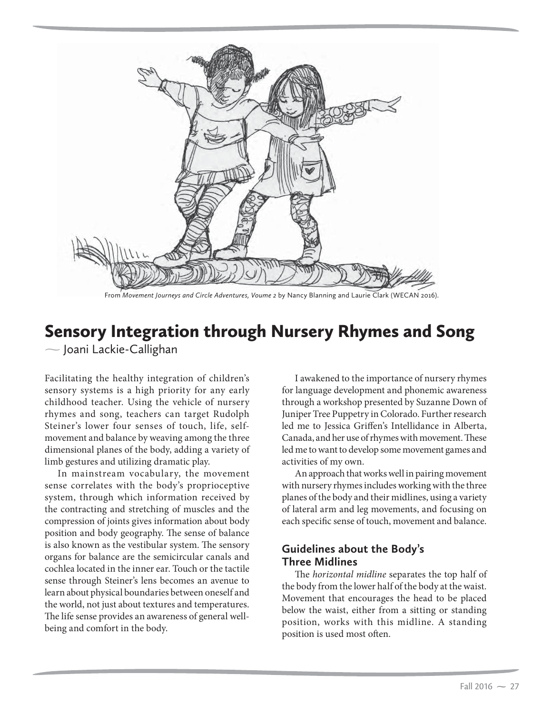

From *Movement Journeys and Circle Adventures, Voume 2* by Nancy Blanning and Laurie Clark (WECAN 2016).

# Sensory Integration through Nursery Rhymes and Song

- Joani Lackie-Callighan

Facilitating the healthy integration of children's sensory systems is a high priority for any early childhood teacher. Using the vehicle of nursery rhymes and song, teachers can target Rudolph Steiner's lower four senses of touch, life, selfmovement and balance by weaving among the three dimensional planes of the body, adding a variety of limb gestures and utilizing dramatic play.

In mainstream vocabulary, the movement sense correlates with the body's proprioceptive system, through which information received by the contracting and stretching of muscles and the compression of joints gives information about body position and body geography. The sense of balance is also known as the vestibular system. The sensory organs for balance are the semicircular canals and cochlea located in the inner ear. Touch or the tactile sense through Steiner's lens becomes an avenue to learn about physical boundaries between oneself and the world, not just about textures and temperatures. The life sense provides an awareness of general wellbeing and comfort in the body.

I awakened to the importance of nursery rhymes for language development and phonemic awareness through a workshop presented by Suzanne Down of Juniper Tree Puppetry in Colorado. Further research led me to Jessica Griffen's Intellidance in Alberta, Canada, and her use of rhymes with movement. These led me to want to develop some movement games and activities of my own.

An approach that works well in pairing movement with nursery rhymes includes working with the three planes of the body and their midlines, using a variety of lateral arm and leg movements, and focusing on each specific sense of touch, movement and balance.

### **Guidelines about the Body's Three Midlines**

The *horizontal midline* separates the top half of the body from the lower half of the body at the waist. Movement that encourages the head to be placed below the waist, either from a sitting or standing position, works with this midline. A standing position is used most often.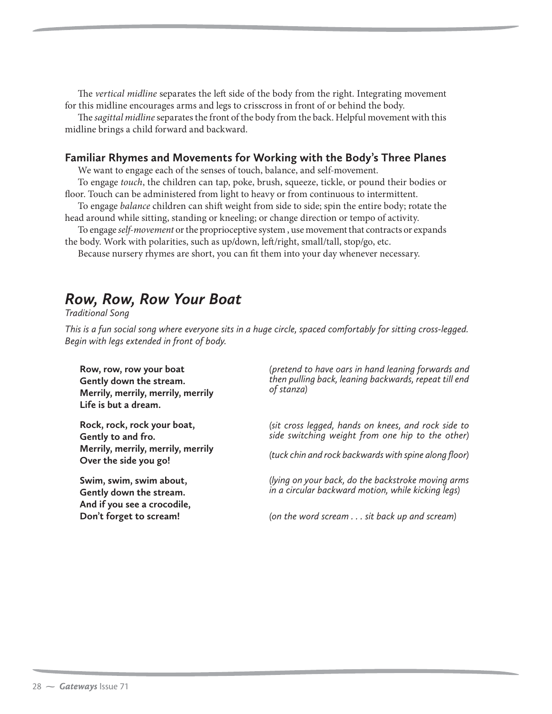The *vertical midline* separates the left side of the body from the right. Integrating movement for this midline encourages arms and legs to crisscross in front of or behind the body.

The *sagittal midline* separates the front of the body from the back. Helpful movement with this midline brings a child forward and backward.

#### **Familiar Rhymes and Movements for Working with the Body's Three Planes**

We want to engage each of the senses of touch, balance, and self-movement.

To engage *touch*, the children can tap, poke, brush, squeeze, tickle, or pound their bodies or floor. Touch can be administered from light to heavy or from continuous to intermittent.

To engage *balance* children can shift weight from side to side; spin the entire body; rotate the head around while sitting, standing or kneeling; or change direction or tempo of activity.

To engage *self-movement* or the proprioceptive system , use movement that contracts or expands the body. Work with polarities, such as up/down, left/right, small/tall, stop/go, etc.

Because nursery rhymes are short, you can fit them into your day whenever necessary.

## *Row, Row, Row Your Boat*

*Traditional Song*

*This is a fun social song where everyone sits in a huge circle, spaced comfortably for sitting cross-legged. Begin with legs extended in front of body.*

**Row, row, row your boat Gently down the stream. Merrily, merrily, merrily, merrily Life is but a dream.**

**Rock, rock, rock your boat, Gently to and fro. Merrily, merrily, merrily, merrily Over the side you go!**

**Swim, swim, swim about, Gently down the stream. And if you see a crocodile, Don't forget to scream!**

*(pretend to have oars in hand leaning forwards and then pulling back, leaning backwards, repeat till end of stanza)*

*(sit cross legged, hands on knees, and rock side to side switching weight from one hip to the other)* 

*(tuck chin and rock backwards with spine along floor)*

*(lying on your back, do the backstroke moving arms in a circular backward motion, while kicking legs)*

*(on the word scream . . . sit back up and scream)*